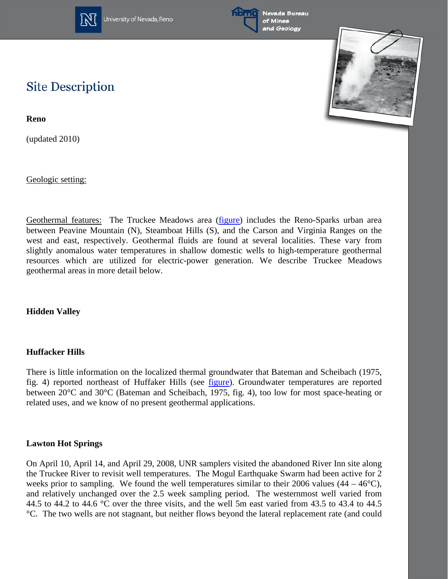



# **Site Description**

**Reno**

(updated 2010)

Geologic setting:

Geothermal features: The Truckee Meadows area [\(figure\)](http://www.nbmg.unr.edu/geothermal/figures/fig44.pdf) includes the Reno-Sparks urban area between Peavine Mountain (N), Steamboat Hills (S), and the Carson and Virginia Ranges on the west and east, respectively. Geothermal fluids are found at several localities. These vary from slightly anomalous water temperatures in shallow domestic wells to high-temperature geothermal resources which are utilized for electric-power generation. We describe Truckee Meadows geothermal areas in more detail below.

**Hidden Valley**

### **Huffacker Hills**

There is little information on the localized thermal groundwater that Bateman and Scheibach (1975, fig. 4) reported northeast of Huffaker Hills (see [figure\)](http://www.nbmg.unr.edu/geothermal/figures/fig44.pdf). Groundwater temperatures are reported between 20°C and 30°C (Bateman and Scheibach, 1975, fig. 4), too low for most space-heating or related uses, and we know of no present geothermal applications.

### **Lawton Hot Springs**

On April 10, April 14, and April 29, 2008, UNR samplers visited the abandoned River Inn site along the Truckee River to revisit well temperatures. The Mogul Earthquake Swarm had been active for 2 weeks prior to sampling. We found the well temperatures similar to their 2006 values  $(44 - 46^{\circ}C)$ , and relatively unchanged over the 2.5 week sampling period. The westernmost well varied from 44.5 to 44.2 to 44.6 °C over the three visits, and the well 5m east varied from 43.5 to 43.4 to 44.5 °C. The two wells are not stagnant, but neither flows beyond the lateral replacement rate (and could

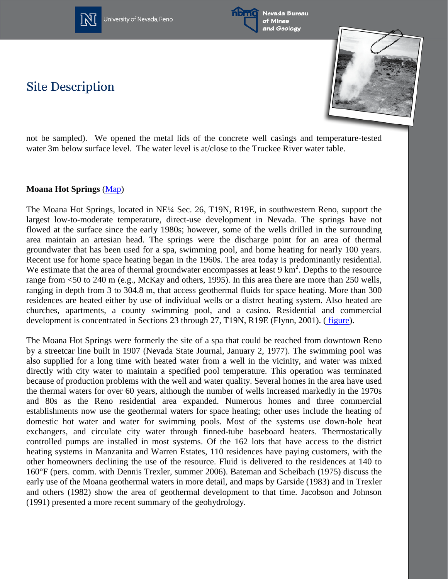



Nevada Bureau of Mines and Geology





not be sampled). We opened the metal lids of the concrete well casings and temperature-tested water 3m below surface level. The water level is at/close to the Truckee River water table.

### **Moana Hot Springs** [\(Map\)](http://www.nbmg.unr.edu/geothermal/detailedmaps/Moana%20Hot%20Springs.pdf)

The Moana Hot Springs, located in NE¼ Sec. 26, T19N, R19E, in southwestern Reno, support the largest low-to-moderate temperature, direct-use development in Nevada. The springs have not flowed at the surface since the early 1980s; however, some of the wells drilled in the surrounding area maintain an artesian head. The springs were the discharge point for an area of thermal groundwater that has been used for a spa, swimming pool, and home heating for nearly 100 years. Recent use for home space heating began in the 1960s. The area today is predominantly residential. We estimate that the area of thermal groundwater encompasses at least  $9 \text{ km}^2$ . Depths to the resource range from <50 to 240 m (e.g., McKay and others, 1995). In this area there are more than 250 wells, ranging in depth from 3 to 304.8 m, that access geothermal fluids for space heating. More than 300 residences are heated either by use of individual wells or a distrct heating system. Also heated are churches, apartments, a county swimming pool, and a casino. Residential and commercial development is concentrated in Sections 23 through 27, T19N, R19E (Flynn, 2001). ( [figure\)](http://www.nbmg.unr.edu/geothermal/figures/fig44.pdf).

The Moana Hot Springs were formerly the site of a spa that could be reached from downtown Reno by a streetcar line built in 1907 (Nevada State Journal, January 2, 1977). The swimming pool was also supplied for a long time with heated water from a well in the vicinity, and water was mixed directly with city water to maintain a specified pool temperature. This operation was terminated because of production problems with the well and water quality. Several homes in the area have used the thermal waters for over 60 years, although the number of wells increased markedly in the 1970s and 80s as the Reno residential area expanded. Numerous homes and three commercial establishments now use the geothermal waters for space heating; other uses include the heating of domestic hot water and water for swimming pools. Most of the systems use down-hole heat exchangers, and circulate city water through finned-tube baseboard heaters. Thermostatically controlled pumps are installed in most systems. Of the 162 lots that have access to the district heating systems in Manzanita and Warren Estates, 110 residences have paying customers, with the other homeowners declining the use of the resource. Fluid is delivered to the residences at 140 to 160°F (pers. comm. with Dennis Trexler, summer 2006). Bateman and Scheibach (1975) discuss the early use of the Moana geothermal waters in more detail, and maps by Garside (1983) and in Trexler and others (1982) show the area of geothermal development to that time. Jacobson and Johnson (1991) presented a more recent summary of the geohydrology.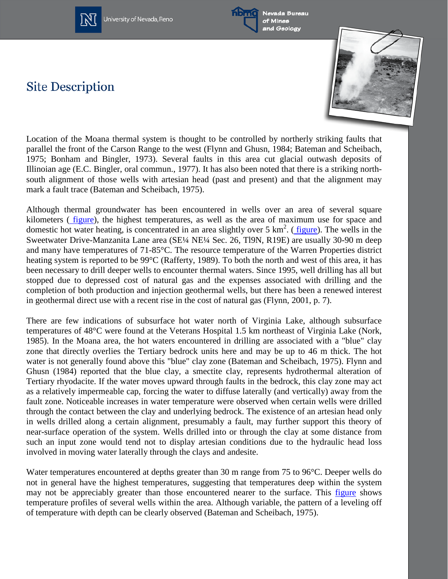



Nevada Bureau of Mines and Geology

# **Site Description**



Location of the Moana thermal system is thought to be controlled by northerly striking faults that parallel the front of the Carson Range to the west (Flynn and Ghusn, 1984; Bateman and Scheibach, 1975; Bonham and Bingler, 1973). Several faults in this area cut glacial outwash deposits of Illinoian age (E.C. Bingler, oral commun., 1977). It has also been noted that there is a striking northsouth alignment of those wells with artesian head (past and present) and that the alignment may mark a fault trace (Bateman and Scheibach, 1975).

Although thermal groundwater has been encountered in wells over an area of several square kilometers ( [figure\)](http://www.nbmg.unr.edu/geothermal/figures/fig44.pdf), the highest temperatures, as well as the area of maximum use for space and domestic hot water heating, is concentrated in an area slightly over 5  $\text{km}^2$ . ([figure\)](http://www.nbmg.unr.edu/geothermal/figures/fig45.pdf). The wells in the Sweetwater Drive-Manzanita Lane area (SE¼ NE¼ Sec. 26, Tl9N, R19E) are usually 30-90 m deep and many have temperatures of 71-85°C. The resource temperature of the Warren Properties district heating system is reported to be 99°C (Rafferty, 1989). To both the north and west of this area, it has been necessary to drill deeper wells to encounter thermal waters. Since 1995, well drilling has all but stopped due to depressed cost of natural gas and the expenses associated with drilling and the completion of both production and injection geothermal wells, but there has been a renewed interest in geothermal direct use with a recent rise in the cost of natural gas (Flynn, 2001, p. 7).

There are few indications of subsurface hot water north of Virginia Lake, although subsurface temperatures of 48°C were found at the Veterans Hospital 1.5 km northeast of Virginia Lake (Nork, 1985). In the Moana area, the hot waters encountered in drilling are associated with a "blue" clay zone that directly overlies the Tertiary bedrock units here and may be up to 46 m thick. The hot water is not generally found above this "blue" clay zone (Bateman and Scheibach, 1975). Flynn and Ghusn (1984) reported that the blue clay, a smectite clay, represents hydrothermal alteration of Tertiary rhyodacite. If the water moves upward through faults in the bedrock, this clay zone may act as a relatively impermeable cap, forcing the water to diffuse laterally (and vertically) away from the fault zone. Noticeable increases in water temperature were observed when certain wells were drilled through the contact between the clay and underlying bedrock. The existence of an artesian head only in wells drilled along a certain alignment, presumably a fault, may further support this theory of near-surface operation of the system. Wells drilled into or through the clay at some distance from such an input zone would tend not to display artesian conditions due to the hydraulic head loss involved in moving water laterally through the clays and andesite.

Water temperatures encountered at depths greater than 30 m range from 75 to 96°C. Deeper wells do not in general have the highest temperatures, suggesting that temperatures deep within the system may not be appreciably greater than those encountered nearer to the surface. This [figure](http://www.nbmg.unr.edu/geothermal/figures/fig46.pdf) shows temperature profiles of several wells within the area. Although variable, the pattern of a leveling off of temperature with depth can be clearly observed (Bateman and Scheibach, 1975).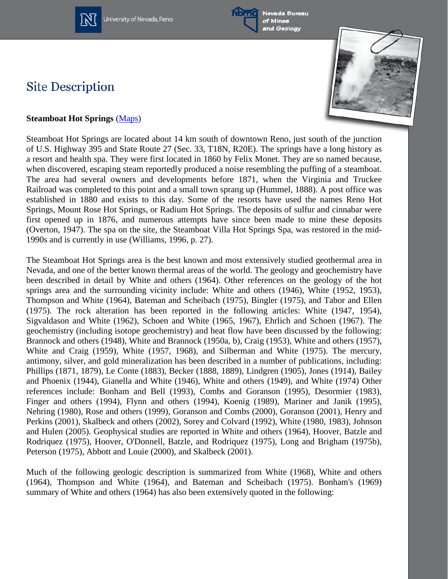



Nevada Bureau of Mines and Geology

# **Site Description**



### **Steamboat Hot Springs** [\(Maps\)](http://www.nbmg.unr.edu/geothermal/detailedmaps/Steamboat%20Hot%20Springs.pdf)

Steamboat Hot Springs are located about 14 km south of downtown Reno, just south of the junction of U.S. Highway 395 and State Route 27 (Sec. 33, T18N, R20E). The springs have a long history as a resort and health spa. They were first located in 1860 by Felix Monet. They are so named because, when discovered, escaping steam reportedly produced a noise resembling the puffing of a steamboat. The area had several owners and developments before 1871, when the Virginia and Truckee Railroad was completed to this point and a small town sprang up (Hummel, 1888). A post office was established in 1880 and exists to this day. Some of the resorts have used the names Reno Hot Springs, Mount Rose Hot Springs, or Radium Hot Springs. The deposits of sulfur and cinnabar were first opened up in 1876, and numerous attempts have since been made to mine these deposits (Overton, 1947). The spa on the site, the Steamboat Villa Hot Springs Spa, was restored in the mid-1990s and is currently in use (Williams, 1996, p. 27).

The Steamboat Hot Springs area is the best known and most extensively studied geothermal area in Nevada, and one of the better known thermal areas of the world. The geology and geochemistry have been described in detail by White and others (1964). Other references on the geology of the hot springs area and the surrounding vicinity include: White and others (1946), White (1952, 1953), Thompson and White (1964), Bateman and Scheibach (1975), Bingler (1975), and Tabor and Ellen (1975). The rock alteration has been reported in the following articles: White (1947, 1954), Sigvaldason and White (1962), Schoen and White (1965, 1967), Ehrlich and Schoen (1967). The geochemistry (including isotope geochemistry) and heat flow have been discussed by the following: Brannock and others (1948), White and Brannock (1950a, b), Craig (1953), White and others (1957), White and Craig (1959), White (1957, 1968), and Silberman and White (1975). The mercury, antimony, silver, and gold mineralization has been described in a number of publications, including: Phillips (1871, 1879), Le Conte (1883), Becker (1888, 1889), Lindgren (1905), Jones (1914), Bailey and Phoenix (1944), Gianella and White (1946), White and others (1949), and White (1974) Other references include: Bonham and Bell (1993), Combs and Goranson (1995), Desormier (1983), Finger and others (1994), Flynn and others (1994), Koenig (1989), Mariner and Janik (1995), Nehring (1980), Rose and others (1999), Goranson and Combs (2000), Goranson (2001), Henry and Perkins (2001), Skalbeck and others (2002), Sorey and Colvard (1992), White (1980, 1983), Johnson and Hulen (2005). Geophysical studies are reported in White and others (1964), Hoover, Batzle and Rodriquez (1975), Hoover, O'Donnell, Batzle, and Rodriquez (1975), Long and Brigham (1975b), Peterson (1975), Abbott and Louie (2000), and Skalbeck (2001).

Much of the following geologic description is summarized from White (1968), White and others (1964), Thompson and White (1964), and Bateman and Scheibach (1975). Bonham's (1969) summary of White and others (1964) has also been extensively quoted in the following: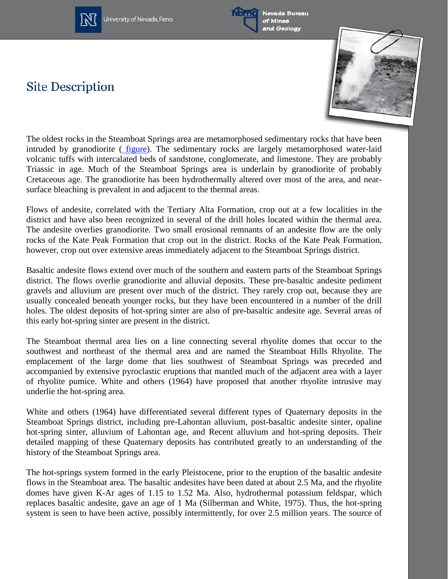



Nevada Bureau of Mines and Geology

# **Site Description**



The oldest rocks in the Steamboat Springs area are metamorphosed sedimentary rocks that have been intruded by granodiorite ( [figure\)](http://www.nbmg.unr.edu/geothermal/figures/fig47.pdf). The sedimentary rocks are largely metamorphosed water-laid volcanic tuffs with intercalated beds of sandstone, conglomerate, and limestone. They are probably Triassic in age. Much of the Steamboat Springs area is underlain by granodiorite of probably Cretaceous age. The granodiorite has been hydrothermally altered over most of the area, and nearsurface bleaching is prevalent in and adjacent to the thermal areas.

Flows of andesite, correlated with the Tertiary Alta Formation, crop out at a few localities in the district and have also been recognized in several of the drill holes located within the thermal area. The andesite overlies granodiorite. Two small erosional remnants of an andesite flow are the only rocks of the Kate Peak Formation that crop out in the district. Rocks of the Kate Peak Formation, however, crop out over extensive areas immediately adjacent to the Steamboat Springs district.

Basaltic andesite flows extend over much of the southern and eastern parts of the Steamboat Springs district. The flows overlie granodiorite and alluvial deposits. These pre-basaltic andesite pediment gravels and alluvium are present over much of the district. They rarely crop out, because they are usually concealed beneath younger rocks, but they have been encountered in a number of the drill holes. The oldest deposits of hot-spring sinter are also of pre-basaltic andesite age. Several areas of this early hot-spring sinter are present in the district.

The Steamboat thermal area lies on a line connecting several rhyolite domes that occur to the southwest and northeast of the thermal area and are named the Steamboat Hills Rhyolite. The emplacement of the large dome that lies southwest of Steamboat Springs was preceded and accompanied by extensive pyroclastic eruptions that mantled much of the adjacent area with a layer of rhyolite pumice. White and others (1964) have proposed that another rhyolite intrusive may underlie the hot-spring area.

White and others (1964) have differentiated several different types of Quaternary deposits in the Steamboat Springs district, including pre-Lahontan alluvium, post-basaltic andesite sinter, opaline hot-spring sinter, alluvium of Lahontan age, and Recent alluvium and hot-spring deposits. Their detailed mapping of these Quaternary deposits has contributed greatly to an understanding of the history of the Steamboat Springs area.

The hot-springs system formed in the early Pleistocene, prior to the eruption of the basaltic andesite flows in the Steamboat area. The basaltic andesites have been dated at about 2.5 Ma, and the rhyolite domes have given K-Ar ages of 1.15 to 1.52 Ma. Also, hydrothermal potassium feldspar, which replaces basaltic andesite, gave an age of 1 Ma (Silberman and White, 1975). Thus, the hot-spring system is seen to have been active, possibly intermittently, for over 2.5 million years. The source of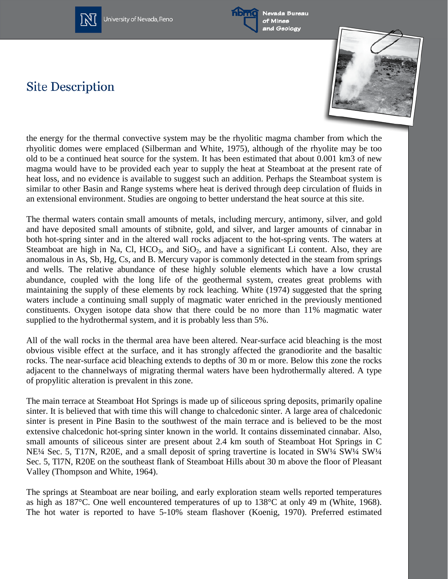



Nevada Bureau of Mines and Geology

# **Site Description**



the energy for the thermal convective system may be the rhyolitic magma chamber from which the rhyolitic domes were emplaced (Silberman and White, 1975), although of the rhyolite may be too old to be a continued heat source for the system. It has been estimated that about 0.001 km3 of new magma would have to be provided each year to supply the heat at Steamboat at the present rate of heat loss, and no evidence is available to suggest such an addition. Perhaps the Steamboat system is similar to other Basin and Range systems where heat is derived through deep circulation of fluids in an extensional environment. Studies are ongoing to better understand the heat source at this site.

The thermal waters contain small amounts of metals, including mercury, antimony, silver, and gold and have deposited small amounts of stibnite, gold, and silver, and larger amounts of cinnabar in both hot-spring sinter and in the altered wall rocks adjacent to the hot-spring vents. The waters at Steamboat are high in Na, Cl,  $HCO<sub>3</sub>$ , and  $SiO<sub>2</sub>$ , and have a significant Li content. Also, they are anomalous in As, Sb, Hg, Cs, and B. Mercury vapor is commonly detected in the steam from springs and wells. The relative abundance of these highly soluble elements which have a low crustal abundance, coupled with the long life of the geothermal system, creates great problems with maintaining the supply of these elements by rock leaching. White (1974) suggested that the spring waters include a continuing small supply of magmatic water enriched in the previously mentioned constituents. Oxygen isotope data show that there could be no more than 11% magmatic water supplied to the hydrothermal system, and it is probably less than 5%.

All of the wall rocks in the thermal area have been altered. Near-surface acid bleaching is the most obvious visible effect at the surface, and it has strongly affected the granodiorite and the basaltic rocks. The near-surface acid bleaching extends to depths of 30 m or more. Below this zone the rocks adjacent to the channelways of migrating thermal waters have been hydrothermally altered. A type of propylitic alteration is prevalent in this zone.

The main terrace at Steamboat Hot Springs is made up of siliceous spring deposits, primarily opaline sinter. It is believed that with time this will change to chalcedonic sinter. A large area of chalcedonic sinter is present in Pine Basin to the southwest of the main terrace and is believed to be the most extensive chalcedonic hot-spring sinter known in the world. It contains disseminated cinnabar. Also, small amounts of siliceous sinter are present about 2.4 km south of Steamboat Hot Springs in C NE¼ Sec. 5, T17N, R20E, and a small deposit of spring travertine is located in SW¼ SW¼ SW¼ Sec. 5, Tl7N, R20E on the southeast flank of Steamboat Hills about 30 m above the floor of Pleasant Valley (Thompson and White, 1964).

The springs at Steamboat are near boiling, and early exploration steam wells reported temperatures as high as 187°C. One well encountered temperatures of up to 138°C at only 49 m (White, 1968). The hot water is reported to have 5-10% steam flashover (Koenig, 1970). Preferred estimated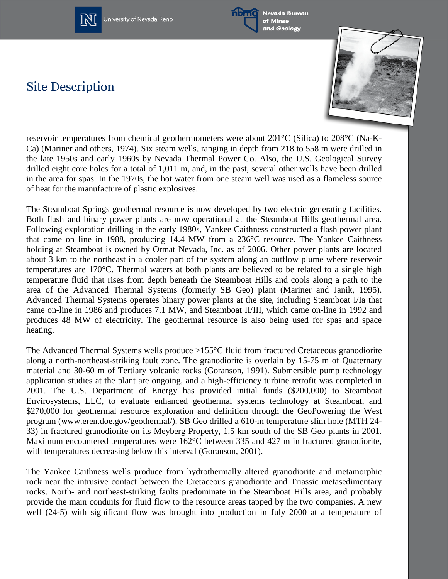



Nevada Bureau of Mines and Geology

# **Site Description**



reservoir temperatures from chemical geothermometers were about 201°C (Silica) to 208°C (Na-K-Ca) (Mariner and others, 1974). Six steam wells, ranging in depth from 218 to 558 m were drilled in the late 1950s and early 1960s by Nevada Thermal Power Co. Also, the U.S. Geological Survey drilled eight core holes for a total of 1,011 m, and, in the past, several other wells have been drilled in the area for spas. In the 1970s, the hot water from one steam well was used as a flameless source of heat for the manufacture of plastic explosives.

The Steamboat Springs geothermal resource is now developed by two electric generating facilities. Both flash and binary power plants are now operational at the Steamboat Hills geothermal area. Following exploration drilling in the early 1980s, Yankee Caithness constructed a flash power plant that came on line in 1988, producing 14.4 MW from a 236°C resource. The Yankee Caithness holding at Steamboat is owned by Ormat Nevada, Inc. as of 2006. Other power plants are located about 3 km to the northeast in a cooler part of the system along an outflow plume where reservoir temperatures are 170°C. Thermal waters at both plants are believed to be related to a single high temperature fluid that rises from depth beneath the Steamboat Hills and cools along a path to the area of the Advanced Thermal Systems (formerly SB Geo) plant (Mariner and Janik, 1995). Advanced Thermal Systems operates binary power plants at the site, including Steamboat I/Ia that came on-line in 1986 and produces 7.1 MW, and Steamboat II/III, which came on-line in 1992 and produces 48 MW of electricity. The geothermal resource is also being used for spas and space heating.

The Advanced Thermal Systems wells produce >155°C fluid from fractured Cretaceous granodiorite along a north-northeast-striking fault zone. The granodiorite is overlain by 15-75 m of Quaternary material and 30-60 m of Tertiary volcanic rocks (Goranson, 1991). Submersible pump technology application studies at the plant are ongoing, and a high-efficiency turbine retrofit was completed in 2001. The U.S. Department of Energy has provided initial funds (\$200,000) to Steamboat Envirosystems, LLC, to evaluate enhanced geothermal systems technology at Steamboat, and \$270,000 for geothermal resource exploration and definition through the GeoPowering the West program (www.eren.doe.gov/geothermal/). SB Geo drilled a 610-m temperature slim hole (MTH 24- 33) in fractured granodiorite on its Meyberg Property, 1.5 km south of the SB Geo plants in 2001. Maximum encountered temperatures were 162°C between 335 and 427 m in fractured granodiorite, with temperatures decreasing below this interval (Goranson, 2001).

The Yankee Caithness wells produce from hydrothermally altered granodiorite and metamorphic rock near the intrusive contact between the Cretaceous granodiorite and Triassic metasedimentary rocks. North- and northeast-striking faults predominate in the Steamboat Hills area, and probably provide the main conduits for fluid flow to the resource areas tapped by the two companies. A new well (24-5) with significant flow was brought into production in July 2000 at a temperature of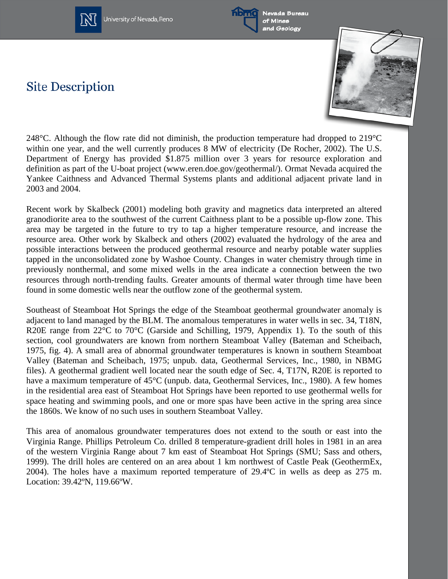



Nevada Bureau of Mines and Geology

# **Site Description**



248°C. Although the flow rate did not diminish, the production temperature had dropped to 219°C within one year, and the well currently produces 8 MW of electricity (De Rocher, 2002). The U.S. Department of Energy has provided \$1.875 million over 3 years for resource exploration and definition as part of the U-boat project (www.eren.doe.gov/geothermal/). Ormat Nevada acquired the Yankee Caithness and Advanced Thermal Systems plants and additional adjacent private land in 2003 and 2004.

Recent work by Skalbeck (2001) modeling both gravity and magnetics data interpreted an altered granodiorite area to the southwest of the current Caithness plant to be a possible up-flow zone. This area may be targeted in the future to try to tap a higher temperature resource, and increase the resource area. Other work by Skalbeck and others (2002) evaluated the hydrology of the area and possible interactions between the produced geothermal resource and nearby potable water supplies tapped in the unconsolidated zone by Washoe County. Changes in water chemistry through time in previously nonthermal, and some mixed wells in the area indicate a connection between the two resources through north-trending faults. Greater amounts of thermal water through time have been found in some domestic wells near the outflow zone of the geothermal system.

Southeast of Steamboat Hot Springs the edge of the Steamboat geothermal groundwater anomaly is adjacent to land managed by the BLM. The anomalous temperatures in water wells in sec. 34, T18N, R20E range from 22<sup>o</sup>C to 70<sup>o</sup>C (Garside and Schilling, 1979, Appendix 1). To the south of this section, cool groundwaters are known from northern Steamboat Valley (Bateman and Scheibach, 1975, fig. 4). A small area of abnormal groundwater temperatures is known in southern Steamboat Valley (Bateman and Scheibach, 1975; unpub. data, Geothermal Services, Inc., 1980, in NBMG files). A geothermal gradient well located near the south edge of Sec. 4, T17N, R20E is reported to have a maximum temperature of 45°C (unpub. data, Geothermal Services, Inc., 1980). A few homes in the residential area east of Steamboat Hot Springs have been reported to use geothermal wells for space heating and swimming pools, and one or more spas have been active in the spring area since the 1860s. We know of no such uses in southern Steamboat Valley.

This area of anomalous groundwater temperatures does not extend to the south or east into the Virginia Range. Phillips Petroleum Co. drilled 8 temperature-gradient drill holes in 1981 in an area of the western Virginia Range about 7 km east of Steamboat Hot Springs (SMU; Sass and others, 1999). The drill holes are centered on an area about 1 km northwest of Castle Peak (GeothermEx, 2004). The holes have a maximum reported temperature of 29.4ºC in wells as deep as 275 m. Location: 39.42ºN, 119.66ºW.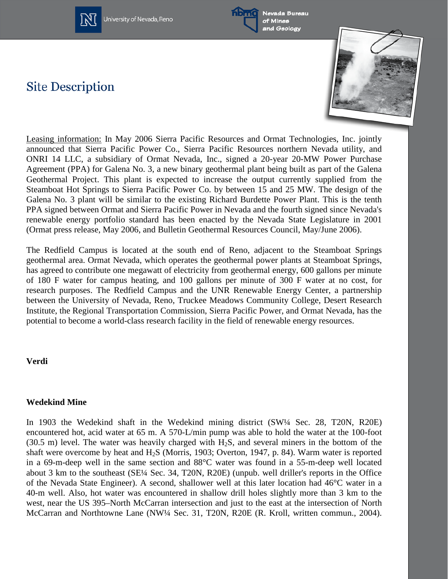



Nevada Bureau of Mines and Geology

# **Site Description**



Leasing information: In May 2006 Sierra Pacific Resources and Ormat Technologies, Inc. jointly announced that Sierra Pacific Power Co., Sierra Pacific Resources northern Nevada utility, and ONRI 14 LLC, a subsidiary of Ormat Nevada, Inc., signed a 20-year 20-MW Power Purchase Agreement (PPA) for Galena No. 3, a new binary geothermal plant being built as part of the Galena Geothermal Project. This plant is expected to increase the output currently supplied from the Steamboat Hot Springs to Sierra Pacific Power Co. by between 15 and 25 MW. The design of the Galena No. 3 plant will be similar to the existing Richard Burdette Power Plant. This is the tenth PPA signed between Ormat and Sierra Pacific Power in Nevada and the fourth signed since Nevada's renewable energy portfolio standard has been enacted by the Nevada State Legislature in 2001 (Ormat press release, May 2006, and Bulletin Geothermal Resources Council, May/June 2006).

The Redfield Campus is located at the south end of Reno, adjacent to the Steamboat Springs geothermal area. Ormat Nevada, which operates the geothermal power plants at Steamboat Springs, has agreed to contribute one megawatt of electricity from geothermal energy, 600 gallons per minute of 180 F water for campus heating, and 100 gallons per minute of 300 F water at no cost, for research purposes. The Redfield Campus and the UNR Renewable Energy Center, a partnership between the University of Nevada, Reno, Truckee Meadows Community College, Desert Research Institute, the Regional Transportation Commission, Sierra Pacific Power, and Ormat Nevada, has the potential to become a world-class research facility in the field of renewable energy resources.

### **Verdi**

#### **Wedekind Mine**

In 1903 the Wedekind shaft in the Wedekind mining district (SW¼ Sec. 28, T20N, R20E) encountered hot, acid water at 65 m. A 570-L/min pump was able to hold the water at the 100-foot (30.5 m) level. The water was heavily charged with  $H_2S$ , and several miners in the bottom of the shaft were overcome by heat and  $H_2S$  (Morris, 1903; Overton, 1947, p. 84). Warm water is reported in a 69-m-deep well in the same section and 88°C water was found in a 55-m-deep well located about 3 km to the southeast (SE¼ Sec. 34, T20N, R20E) (unpub. well driller's reports in the Office of the Nevada State Engineer). A second, shallower well at this later location had 46°C water in a 40-m well. Also, hot water was encountered in shallow drill holes slightly more than 3 km to the west, near the US 395–North McCarran intersection and just to the east at the intersection of North McCarran and Northtowne Lane (NW¼ Sec. 31, T20N, R20E (R. Kroll, written commun., 2004).